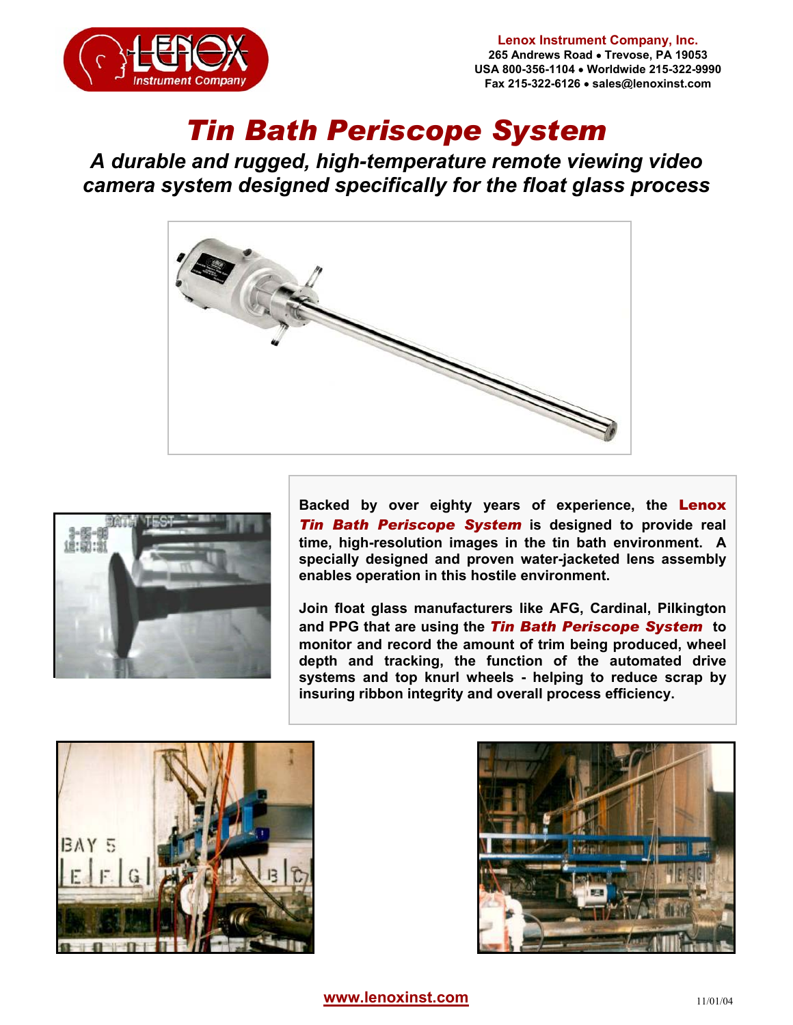

## *Tin Bath Periscope System*

*A durable and rugged, high-temperature remote viewing video camera system designed specifically for the float glass process* 





**Backed by over eighty years of experience, the** Lenox *Tin Bath Periscope System* **is designed to provide real time, high-resolution images in the tin bath environment. A specially designed and proven water-jacketed lens assembly enables operation in this hostile environment.** 

**Join float glass manufacturers like AFG, Cardinal, Pilkington and PPG that are using the** *Tin Bath Periscope System* **to monitor and record the amount of trim being produced, wheel depth and tracking, the function of the automated drive systems and top knurl wheels - helping to reduce scrap by insuring ribbon integrity and overall process efficiency.**